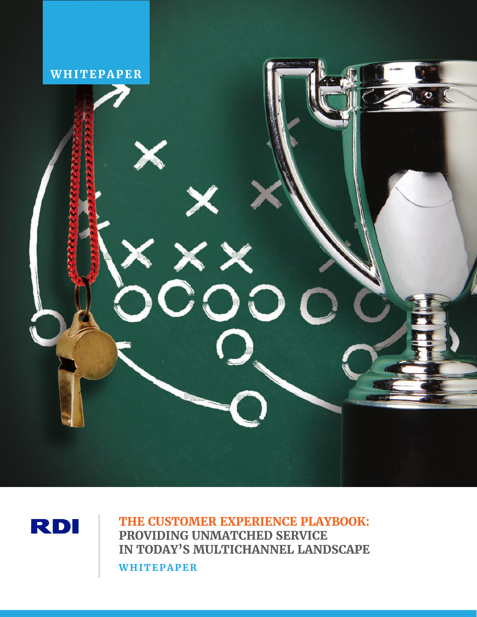



**THE CUSTOMER EXPERIENCE PLAYBOOK: PROVIDING UNMATCHED SERVICE IN TODAY'S MULTICHANNEL LANDSCAPE WHITEPAPER**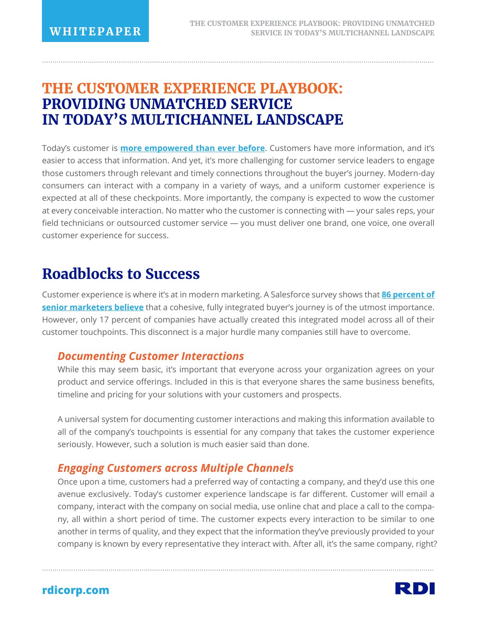## **THE CUSTOMER EXPERIENCE PLAYBOOK: PROVIDING UNMATCHED SERVICE IN TODAY'S MULTICHANNEL LANDSCAPE**

Today's customer is **more empowered than ever before**. Customers have more information, and it's easier to access that information. And yet, it's more challenging for customer service leaders to engage those customers through relevant and timely connections throughout the buyer's journey. Modern-day consumers can interact with a company in a variety of ways, and a uniform customer experience is expected at all of these checkpoints. More importantly, the company is expected to wow the customer at every conceivable interaction. No matter who the customer is connecting with — your sales reps, your field technicians or outsourced customer service — you must deliver one brand, one voice, one overall customer experience for success.

.............................................................................................................................................................................................

# **Roadblocks to Success**

Customer experience is where it's at in modern marketing. A Salesforce survey shows that **86 percent of senior marketers believe** that a cohesive, fully integrated buyer's journey is of the utmost importance. However, only 17 percent of companies have actually created this integrated model across all of their customer touchpoints. This disconnect is a major hurdle many companies still have to overcome.

### *Documenting Customer Interactions*

While this may seem basic, it's important that everyone across your organization agrees on your product and service offerings. Included in this is that everyone shares the same business benefits, timeline and pricing for your solutions with your customers and prospects.

A universal system for documenting customer interactions and making this information available to all of the company's touchpoints is essential for any company that takes the customer experience seriously. However, such a solution is much easier said than done.

## *Engaging Customers across Multiple Channels*

Once upon a time, customers had a preferred way of contacting a company, and they'd use this one avenue exclusively. Today's customer experience landscape is far different. Customer will email a company, interact with the company on social media, use online chat and place a call to the company, all within a short period of time. The customer expects every interaction to be similar to one another in terms of quality, and they expect that the information they've previously provided to your company is known by every representative they interact with. After all, it's the same company, right?

.............................................................................................................................................................................................

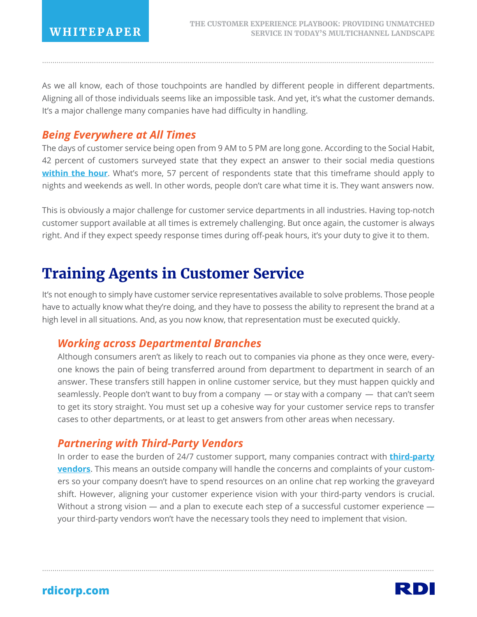As we all know, each of those touchpoints are handled by different people in different departments. Aligning all of those individuals seems like an impossible task. And yet, it's what the customer demands. It's a major challenge many companies have had difficulty in handling.

.............................................................................................................................................................................................

### *Being Everywhere at All Times*

The days of customer service being open from 9 AM to 5 PM are long gone. According to the Social Habit, 42 percent of customers surveyed state that they expect an answer to their social media questions **within the hour**. What's more, 57 percent of respondents state that this timeframe should apply to nights and weekends as well. In other words, people don't care what time it is. They want answers now.

This is obviously a major challenge for customer service departments in all industries. Having top-notch customer support available at all times is extremely challenging. But once again, the customer is always right. And if they expect speedy response times during off-peak hours, it's your duty to give it to them.

# **Training Agents in Customer Service**

It's not enough to simply have customer service representatives available to solve problems. Those people have to actually know what they're doing, and they have to possess the ability to represent the brand at a high level in all situations. And, as you now know, that representation must be executed quickly.

## *Working across Departmental Branches*

Although consumers aren't as likely to reach out to companies via phone as they once were, everyone knows the pain of being transferred around from department to department in search of an answer. These transfers still happen in online customer service, but they must happen quickly and seamlessly. People don't want to buy from a company — or stay with a company — that can't seem to get its story straight. You must set up a cohesive way for your customer service reps to transfer cases to other departments, or at least to get answers from other areas when necessary.

## *Partnering with Third-Party Vendors*

In order to ease the burden of 24/7 customer support, many companies contract with **third-party vendors**. This means an outside company will handle the concerns and complaints of your customers so your company doesn't have to spend resources on an online chat rep working the graveyard shift. However, aligning your customer experience vision with your third-party vendors is crucial. Without a strong vision — and a plan to execute each step of a successful customer experience your third-party vendors won't have the necessary tools they need to implement that vision.

.............................................................................................................................................................................................

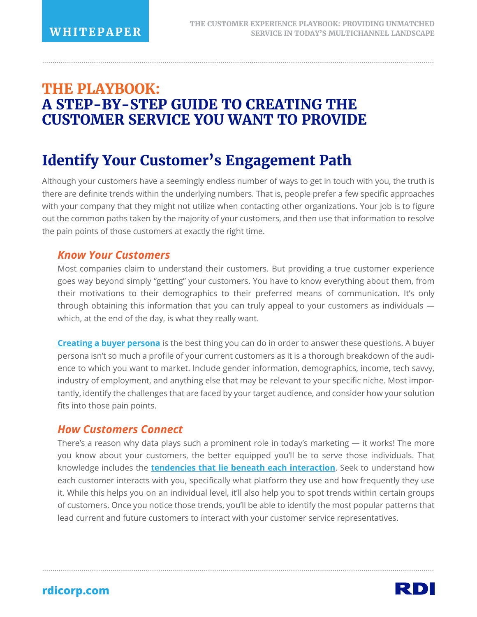# **THE PLAYBOOK: A STEP-BY-STEP GUIDE TO CREATING THE CUSTOMER SERVICE YOU WANT TO PROVIDE**

# **Identify Your Customer's Engagement Path**

Although your customers have a seemingly endless number of ways to get in touch with you, the truth is there are definite trends within the underlying numbers. That is, people prefer a few specific approaches with your company that they might not utilize when contacting other organizations. Your job is to figure out the common paths taken by the majority of your customers, and then use that information to resolve the pain points of those customers at exactly the right time.

.............................................................................................................................................................................................

#### *Know Your Customers*

Most companies claim to understand their customers. But providing a true customer experience goes way beyond simply "getting" your customers. You have to know everything about them, from their motivations to their demographics to their preferred means of communication. It's only through obtaining this information that you can truly appeal to your customers as individuals which, at the end of the day, is what they really want.

**Creating a buyer persona** is the best thing you can do in order to answer these questions. A buyer persona isn't so much a profile of your current customers as it is a thorough breakdown of the audience to which you want to market. Include gender information, demographics, income, tech savvy, industry of employment, and anything else that may be relevant to your specific niche. Most importantly, identify the challenges that are faced by your target audience, and consider how your solution fits into those pain points.

#### *How Customers Connect*

There's a reason why data plays such a prominent role in today's marketing  $-$  it works! The more you know about your customers, the better equipped you'll be to serve those individuals. That knowledge includes the **tendencies that lie beneath each interaction**. Seek to understand how each customer interacts with you, specifically what platform they use and how frequently they use it. While this helps you on an individual level, it'll also help you to spot trends within certain groups of customers. Once you notice those trends, you'll be able to identify the most popular patterns that lead current and future customers to interact with your customer service representatives.

.............................................................................................................................................................................................

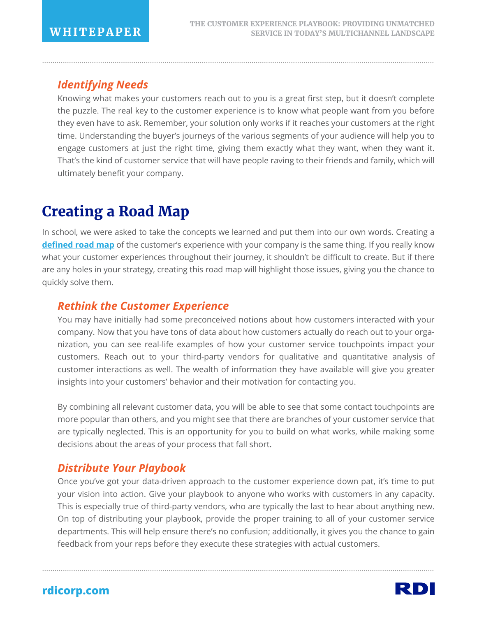## *Identifying Needs*

Knowing what makes your customers reach out to you is a great first step, but it doesn't complete the puzzle. The real key to the customer experience is to know what people want from you before they even have to ask. Remember, your solution only works if it reaches your customers at the right time. Understanding the buyer's journeys of the various segments of your audience will help you to engage customers at just the right time, giving them exactly what they want, when they want it. That's the kind of customer service that will have people raving to their friends and family, which will ultimately benefit your company.

.............................................................................................................................................................................................

# **Creating a Road Map**

In school, we were asked to take the concepts we learned and put them into our own words. Creating a **defined road map** of the customer's experience with your company is the same thing. If you really know what your customer experiences throughout their journey, it shouldn't be difficult to create. But if there are any holes in your strategy, creating this road map will highlight those issues, giving you the chance to quickly solve them.

### *Rethink the Customer Experience*

You may have initially had some preconceived notions about how customers interacted with your company. Now that you have tons of data about how customers actually do reach out to your organization, you can see real-life examples of how your customer service touchpoints impact your customers. Reach out to your third-party vendors for qualitative and quantitative analysis of customer interactions as well. The wealth of information they have available will give you greater insights into your customers' behavior and their motivation for contacting you.

By combining all relevant customer data, you will be able to see that some contact touchpoints are more popular than others, and you might see that there are branches of your customer service that are typically neglected. This is an opportunity for you to build on what works, while making some decisions about the areas of your process that fall short.

## *Distribute Your Playbook*

Once you've got your data-driven approach to the customer experience down pat, it's time to put your vision into action. Give your playbook to anyone who works with customers in any capacity. This is especially true of third-party vendors, who are typically the last to hear about anything new. On top of distributing your playbook, provide the proper training to all of your customer service departments. This will help ensure there's no confusion; additionally, it gives you the chance to gain feedback from your reps before they execute these strategies with actual customers.

.............................................................................................................................................................................................

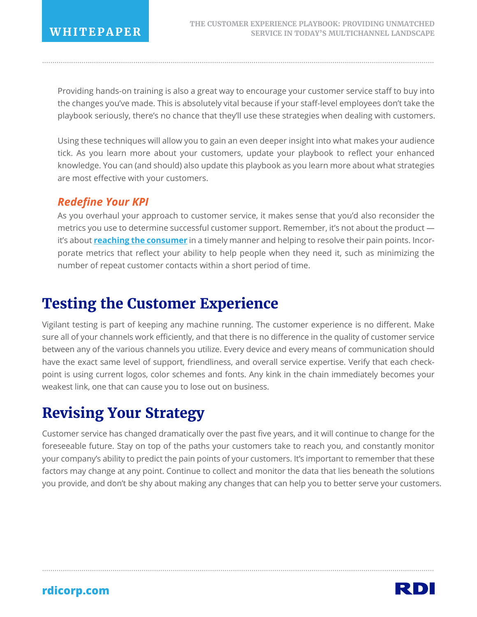Providing hands-on training is also a great way to encourage your customer service staff to buy into the changes you've made. This is absolutely vital because if your staff-level employees don't take the playbook seriously, there's no chance that they'll use these strategies when dealing with customers.

.............................................................................................................................................................................................

Using these techniques will allow you to gain an even deeper insight into what makes your audience tick. As you learn more about your customers, update your playbook to reflect your enhanced knowledge. You can (and should) also update this playbook as you learn more about what strategies are most effective with your customers.

### *Redefine Your KPI*

As you overhaul your approach to customer service, it makes sense that you'd also reconsider the metrics you use to determine successful customer support. Remember, it's not about the product it's about **reaching the consumer** in a timely manner and helping to resolve their pain points. Incorporate metrics that reflect your ability to help people when they need it, such as minimizing the number of repeat customer contacts within a short period of time.

# **Testing the Customer Experience**

Vigilant testing is part of keeping any machine running. The customer experience is no different. Make sure all of your channels work efficiently, and that there is no difference in the quality of customer service between any of the various channels you utilize. Every device and every means of communication should have the exact same level of support, friendliness, and overall service expertise. Verify that each checkpoint is using current logos, color schemes and fonts. Any kink in the chain immediately becomes your weakest link, one that can cause you to lose out on business.

# **Revising Your Strategy**

Customer service has changed dramatically over the past five years, and it will continue to change for the foreseeable future. Stay on top of the paths your customers take to reach you, and constantly monitor your company's ability to predict the pain points of your customers. It's important to remember that these factors may change at any point. Continue to collect and monitor the data that lies beneath the solutions you provide, and don't be shy about making any changes that can help you to better serve your customers.

.............................................................................................................................................................................................

RD.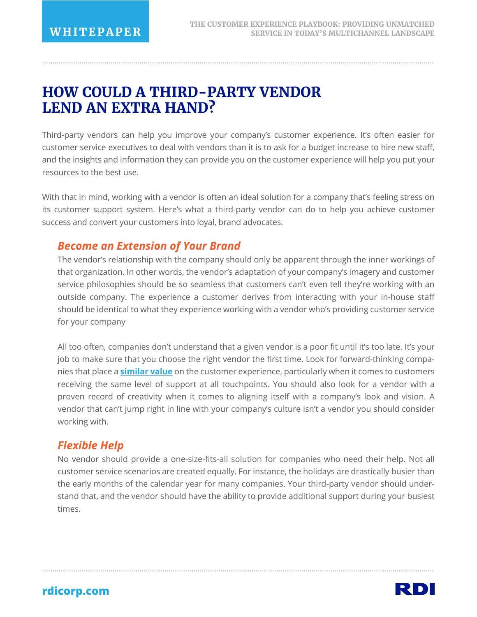# **HOW COULD A THIRD-PARTY VENDOR LEND AN EXTRA HAND?**

Third-party vendors can help you improve your company's customer experience. It's often easier for customer service executives to deal with vendors than it is to ask for a budget increase to hire new staff, and the insights and information they can provide you on the customer experience will help you put your resources to the best use.

.............................................................................................................................................................................................

With that in mind, working with a vendor is often an ideal solution for a company that's feeling stress on its customer support system. Here's what a third-party vendor can do to help you achieve customer success and convert your customers into loyal, brand advocates.

#### *Become an Extension of Your Brand*

The vendor's relationship with the company should only be apparent through the inner workings of that organization. In other words, the vendor's adaptation of your company's imagery and customer service philosophies should be so seamless that customers can't even tell they're working with an outside company. The experience a customer derives from interacting with your in-house staff should be identical to what they experience working with a vendor who's providing customer service for your company

All too often, companies don't understand that a given vendor is a poor fit until it's too late. It's your job to make sure that you choose the right vendor the first time. Look for forward-thinking companies that place a **similar value** on the customer experience, particularly when it comes to customers receiving the same level of support at all touchpoints. You should also look for a vendor with a proven record of creativity when it comes to aligning itself with a company's look and vision. A vendor that can't jump right in line with your company's culture isn't a vendor you should consider working with.

### *Flexible Help*

No vendor should provide a one-size-fits-all solution for companies who need their help. Not all customer service scenarios are created equally. For instance, the holidays are drastically busier than the early months of the calendar year for many companies. Your third-party vendor should understand that, and the vendor should have the ability to provide additional support during your busiest times.

.............................................................................................................................................................................................

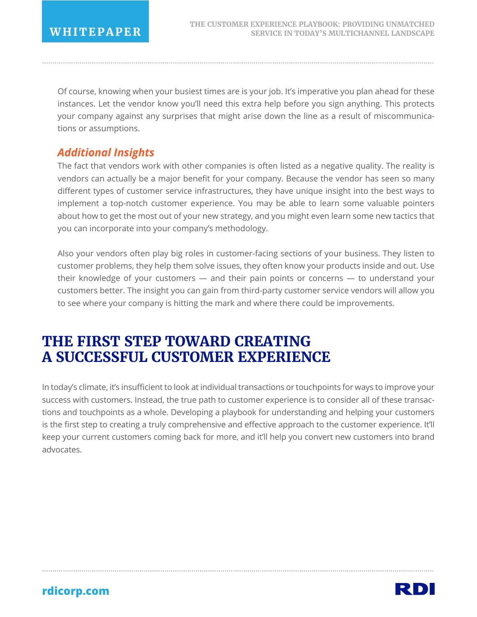Of course, knowing when your busiest times are is your job. It's imperative you plan ahead for these instances. Let the vendor know you'll need this extra help before you sign anything. This protects your company against any surprises that might arise down the line as a result of miscommunications or assumptions.

.............................................................................................................................................................................................

### *Additional Insights*

The fact that vendors work with other companies is often listed as a negative quality. The reality is vendors can actually be a major benefit for your company. Because the vendor has seen so many different types of customer service infrastructures, they have unique insight into the best ways to implement a top-notch customer experience. You may be able to learn some valuable pointers about how to get the most out of your new strategy, and you might even learn some new tactics that you can incorporate into your company's methodology.

Also your vendors often play big roles in customer-facing sections of your business. They listen to customer problems, they help them solve issues, they often know your products inside and out. Use their knowledge of your customers — and their pain points or concerns — to understand your customers better. The insight you can gain from third-party customer service vendors will allow you to see where your company is hitting the mark and where there could be improvements.

# **THE FIRST STEP TOWARD CREATING A SUCCESSFUL CUSTOMER EXPERIENCE**

In today's climate, it's insufficient to look at individual transactions or touchpoints for ways to improve your success with customers. Instead, the true path to customer experience is to consider all of these transactions and touchpoints as a whole. Developing a playbook for understanding and helping your customers is the first step to creating a truly comprehensive and effective approach to the customer experience. It'll keep your current customers coming back for more, and it'll help you convert new customers into brand advocates.

.............................................................................................................................................................................................